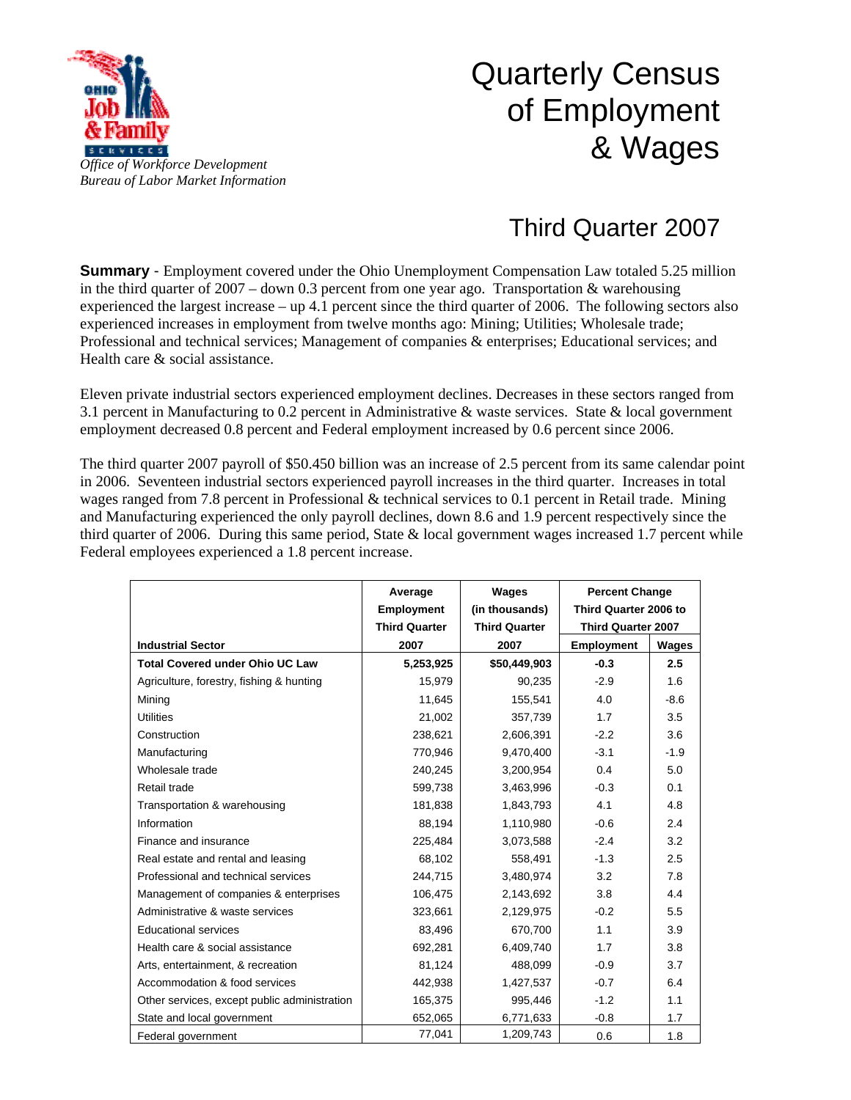

## Quarterly Census of Employment & Wages

## Third Quarter 2007

**Summary** - Employment covered under the Ohio Unemployment Compensation Law totaled 5.25 million in the third quarter of  $2007 -$  down 0.3 percent from one year ago. Transportation & warehousing experienced the largest increase – up 4.1 percent since the third quarter of 2006. The following sectors also experienced increases in employment from twelve months ago: Mining; Utilities; Wholesale trade; Professional and technical services; Management of companies & enterprises; Educational services; and Health care & social assistance.

Eleven private industrial sectors experienced employment declines. Decreases in these sectors ranged from 3.1 percent in Manufacturing to 0.2 percent in Administrative & waste services. State & local government employment decreased 0.8 percent and Federal employment increased by 0.6 percent since 2006.

The third quarter 2007 payroll of \$50.450 billion was an increase of 2.5 percent from its same calendar point in 2006. Seventeen industrial sectors experienced payroll increases in the third quarter. Increases in total wages ranged from 7.8 percent in Professional & technical services to 0.1 percent in Retail trade. Mining and Manufacturing experienced the only payroll declines, down 8.6 and 1.9 percent respectively since the third quarter of 2006. During this same period, State & local government wages increased 1.7 percent while Federal employees experienced a 1.8 percent increase.

|                                              | Average              | Wages                | <b>Percent Change</b>     |        |
|----------------------------------------------|----------------------|----------------------|---------------------------|--------|
|                                              | <b>Employment</b>    | (in thousands)       | Third Quarter 2006 to     |        |
|                                              | <b>Third Quarter</b> | <b>Third Quarter</b> | <b>Third Quarter 2007</b> |        |
| <b>Industrial Sector</b>                     | 2007                 | 2007                 | <b>Employment</b>         | Wages  |
| <b>Total Covered under Ohio UC Law</b>       | 5,253,925            | \$50,449,903         | $-0.3$                    | 2.5    |
| Agriculture, forestry, fishing & hunting     | 15,979               | 90,235               | $-2.9$                    | 1.6    |
| Mining                                       | 11,645               | 155,541              | 4.0                       | $-8.6$ |
| <b>Utilities</b>                             | 21,002               | 357,739              | 1.7                       | 3.5    |
| Construction                                 | 238,621              | 2,606,391            | $-2.2$                    | 3.6    |
| Manufacturing                                | 770,946              | 9,470,400            | $-3.1$                    | $-1.9$ |
| Wholesale trade                              | 240.245              | 3,200,954            | 0.4                       | 5.0    |
| Retail trade                                 | 599,738              | 3,463,996            | $-0.3$                    | 0.1    |
| Transportation & warehousing                 | 181,838              | 1,843,793            | 4.1                       | 4.8    |
| Information                                  | 88,194               | 1,110,980            | $-0.6$                    | 2.4    |
| Finance and insurance                        | 225,484              | 3,073,588            | $-2.4$                    | 3.2    |
| Real estate and rental and leasing           | 68,102               | 558,491              | $-1.3$                    | 2.5    |
| Professional and technical services          | 244,715              | 3,480,974            | 3.2                       | 7.8    |
| Management of companies & enterprises        | 106,475              | 2,143,692            | 3.8                       | 4.4    |
| Administrative & waste services              | 323,661              | 2,129,975            | $-0.2$                    | 5.5    |
| <b>Educational services</b>                  | 83,496               | 670,700              | 1.1                       | 3.9    |
| Health care & social assistance              | 692,281              | 6,409,740            | 1.7                       | 3.8    |
| Arts, entertainment, & recreation            | 81,124               | 488,099              | $-0.9$                    | 3.7    |
| Accommodation & food services                | 442.938              | 1,427,537            | $-0.7$                    | 6.4    |
| Other services, except public administration | 165,375              | 995,446              | $-1.2$                    | 1.1    |
| State and local government                   | 652,065              | 6,771,633            | $-0.8$                    | 1.7    |
| Federal government                           | 77,041               | 1,209,743            | 0.6                       | 1.8    |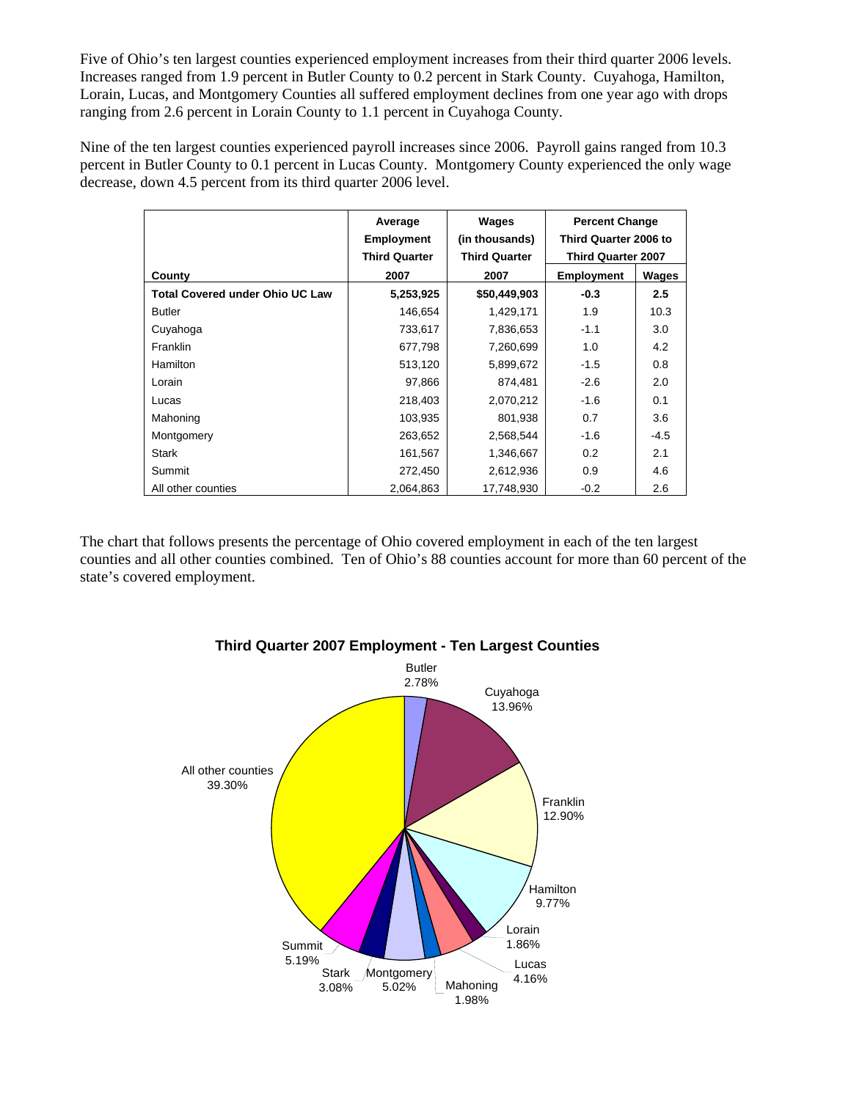Five of Ohio's ten largest counties experienced employment increases from their third quarter 2006 levels. Increases ranged from 1.9 percent in Butler County to 0.2 percent in Stark County. Cuyahoga, Hamilton, Lorain, Lucas, and Montgomery Counties all suffered employment declines from one year ago with drops ranging from 2.6 percent in Lorain County to 1.1 percent in Cuyahoga County.

Nine of the ten largest counties experienced payroll increases since 2006. Payroll gains ranged from 10.3 percent in Butler County to 0.1 percent in Lucas County. Montgomery County experienced the only wage decrease, down 4.5 percent from its third quarter 2006 level.

|                                        | Average              | Wages                | <b>Percent Change</b><br>Third Quarter 2006 to<br><b>Third Quarter 2007</b> |        |
|----------------------------------------|----------------------|----------------------|-----------------------------------------------------------------------------|--------|
|                                        | <b>Employment</b>    | (in thousands)       |                                                                             |        |
|                                        | <b>Third Quarter</b> | <b>Third Quarter</b> |                                                                             |        |
| County                                 | 2007                 | 2007                 | <b>Employment</b>                                                           | Wages  |
| <b>Total Covered under Ohio UC Law</b> | 5,253,925            | \$50,449,903         | $-0.3$                                                                      | 2.5    |
| <b>Butler</b>                          | 146,654              | 1,429,171            | 1.9                                                                         | 10.3   |
| Cuyahoga                               | 733,617              | 7,836,653            | $-1.1$                                                                      | 3.0    |
| <b>Franklin</b>                        | 677,798              | 7,260,699            | 1.0                                                                         | 4.2    |
| Hamilton                               | 513,120              | 5,899,672            | $-1.5$                                                                      | 0.8    |
| Lorain                                 | 97,866               | 874,481              | $-2.6$                                                                      | 2.0    |
| Lucas                                  | 218,403              | 2,070,212            | $-1.6$                                                                      | 0.1    |
| Mahoning                               | 103,935              | 801,938              | 0.7                                                                         | 3.6    |
| Montgomery                             | 263,652              | 2,568,544            | -1.6                                                                        | $-4.5$ |
| <b>Stark</b>                           | 161,567              | 1,346,667            | 0.2                                                                         | 2.1    |
| Summit                                 | 272,450              | 2,612,936            | 0.9                                                                         | 4.6    |
| All other counties                     | 2,064,863            | 17,748,930           | $-0.2$                                                                      | 2.6    |

The chart that follows presents the percentage of Ohio covered employment in each of the ten largest counties and all other counties combined. Ten of Ohio's 88 counties account for more than 60 percent of the state's covered employment.